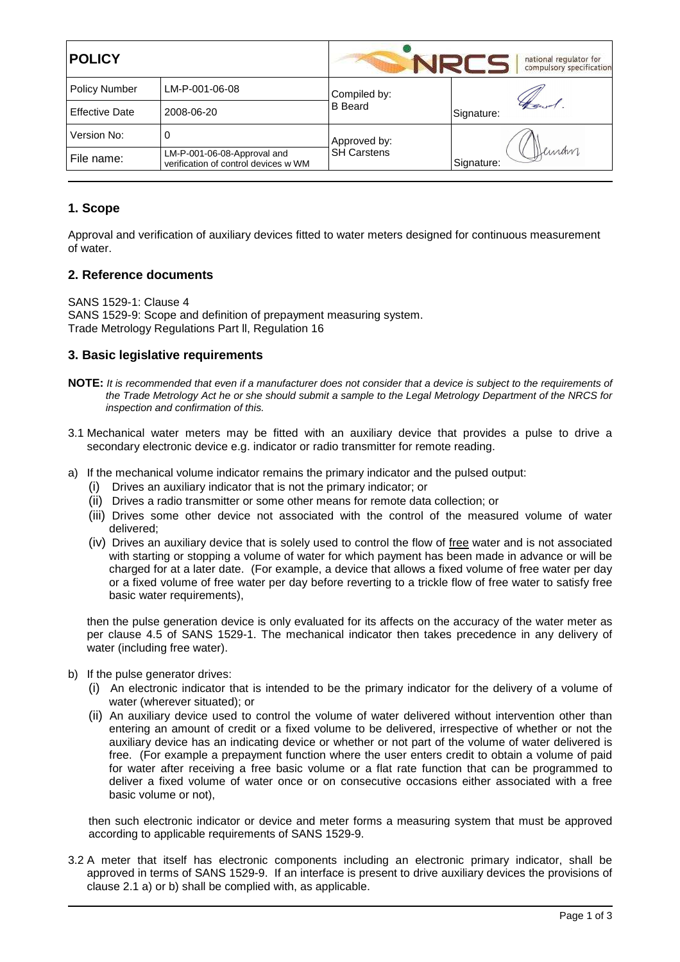| <b>POLICY</b>         |                                                                     | national regulator for<br>compulsory specification |                     |  |
|-----------------------|---------------------------------------------------------------------|----------------------------------------------------|---------------------|--|
| <b>Policy Number</b>  | LM-P-001-06-08                                                      | Compiled by:<br><b>B</b> Beard                     |                     |  |
| <b>Effective Date</b> | 2008-06-20                                                          |                                                    | Signature:          |  |
| Version No:           | 0                                                                   | Approved by:<br><b>SH Carstens</b>                 |                     |  |
| File name:            | LM-P-001-06-08-Approval and<br>verification of control devices w WM |                                                    | Deman<br>Signature: |  |

# **1. Scope**

Approval and verification of auxiliary devices fitted to water meters designed for continuous measurement of water.

## **2. Reference documents**

SANS 1529-1: Clause 4 SANS 1529-9: Scope and definition of prepayment measuring system. Trade Metrology Regulations Part ll, Regulation 16

## **3. Basic legislative requirements**

- **NOTE:** It is recommended that even if a manufacturer does not consider that a device is subject to the requirements of the Trade Metrology Act he or she should submit a sample to the Legal Metrology Department of the NRCS for inspection and confirmation of this.
- 3.1 Mechanical water meters may be fitted with an auxiliary device that provides a pulse to drive a secondary electronic device e.g. indicator or radio transmitter for remote reading.
- a) If the mechanical volume indicator remains the primary indicator and the pulsed output:
	- (i) Drives an auxiliary indicator that is not the primary indicator; or
	- (ii) Drives a radio transmitter or some other means for remote data collection; or
	- (iii) Drives some other device not associated with the control of the measured volume of water delivered;
	- (iv) Drives an auxiliary device that is solely used to control the flow of free water and is not associated with starting or stopping a volume of water for which payment has been made in advance or will be charged for at a later date. (For example, a device that allows a fixed volume of free water per day or a fixed volume of free water per day before reverting to a trickle flow of free water to satisfy free basic water requirements),

then the pulse generation device is only evaluated for its affects on the accuracy of the water meter as per clause 4.5 of SANS 1529-1. The mechanical indicator then takes precedence in any delivery of water (including free water).

- b) If the pulse generator drives:
	- (i) An electronic indicator that is intended to be the primary indicator for the delivery of a volume of water (wherever situated); or
	- (ii) An auxiliary device used to control the volume of water delivered without intervention other than entering an amount of credit or a fixed volume to be delivered, irrespective of whether or not the auxiliary device has an indicating device or whether or not part of the volume of water delivered is free. (For example a prepayment function where the user enters credit to obtain a volume of paid for water after receiving a free basic volume or a flat rate function that can be programmed to deliver a fixed volume of water once or on consecutive occasions either associated with a free basic volume or not),

then such electronic indicator or device and meter forms a measuring system that must be approved according to applicable requirements of SANS 1529-9.

3.2 A meter that itself has electronic components including an electronic primary indicator, shall be approved in terms of SANS 1529-9. If an interface is present to drive auxiliary devices the provisions of clause 2.1 a) or b) shall be complied with, as applicable.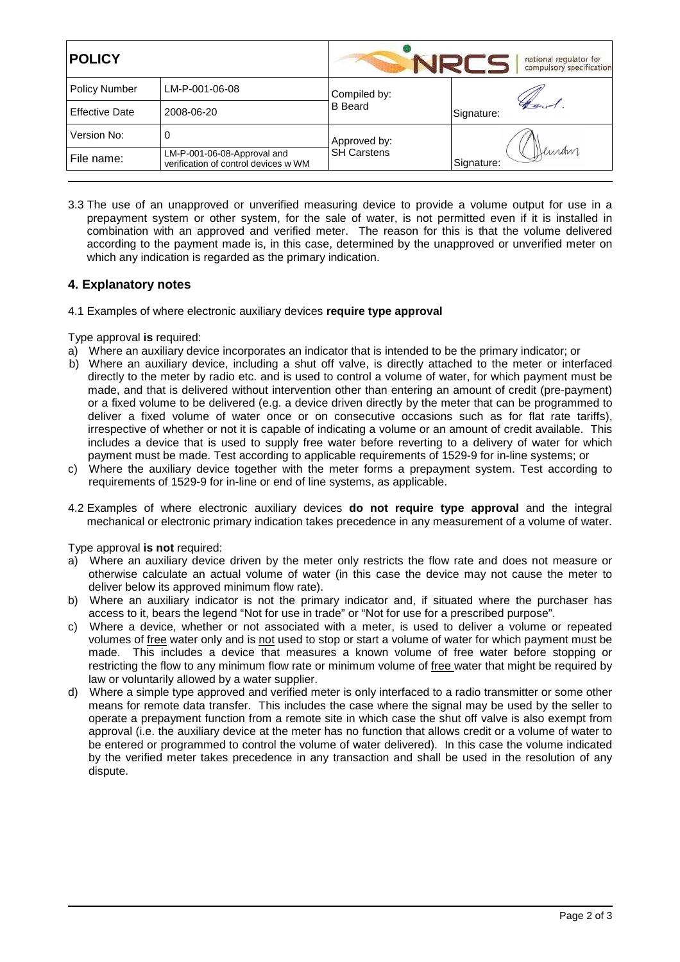| <b>POLICY</b>         |                                                                     | national regulator for<br>compulsory specification |                      |
|-----------------------|---------------------------------------------------------------------|----------------------------------------------------|----------------------|
| <b>Policy Number</b>  | LM-P-001-06-08                                                      | Compiled by:<br><b>B</b> Beard                     |                      |
| <b>Effective Date</b> | 2008-06-20                                                          |                                                    | Signature:           |
| Version No:           | 0                                                                   | Approved by:<br><b>SH Carstens</b>                 |                      |
| File name:            | LM-P-001-06-08-Approval and<br>verification of control devices w WM |                                                    | Deinam<br>Signature: |

3.3 The use of an unapproved or unverified measuring device to provide a volume output for use in a prepayment system or other system, for the sale of water, is not permitted even if it is installed in combination with an approved and verified meter. The reason for this is that the volume delivered according to the payment made is, in this case, determined by the unapproved or unverified meter on which any indication is regarded as the primary indication.

## **4. Explanatory notes**

4.1 Examples of where electronic auxiliary devices **require type approval**

Type approval **is** required:

- a) Where an auxiliary device incorporates an indicator that is intended to be the primary indicator; or
- b) Where an auxiliary device, including a shut off valve, is directly attached to the meter or interfaced directly to the meter by radio etc. and is used to control a volume of water, for which payment must be made, and that is delivered without intervention other than entering an amount of credit (pre-payment) or a fixed volume to be delivered (e.g. a device driven directly by the meter that can be programmed to deliver a fixed volume of water once or on consecutive occasions such as for flat rate tariffs), irrespective of whether or not it is capable of indicating a volume or an amount of credit available. This includes a device that is used to supply free water before reverting to a delivery of water for which payment must be made. Test according to applicable requirements of 1529-9 for in-line systems; or
- c) Where the auxiliary device together with the meter forms a prepayment system. Test according to requirements of 1529-9 for in-line or end of line systems, as applicable.
- 4.2 Examples of where electronic auxiliary devices **do not require type approval** and the integral mechanical or electronic primary indication takes precedence in any measurement of a volume of water.

Type approval **is not** required:

- a) Where an auxiliary device driven by the meter only restricts the flow rate and does not measure or otherwise calculate an actual volume of water (in this case the device may not cause the meter to deliver below its approved minimum flow rate).
- b) Where an auxiliary indicator is not the primary indicator and, if situated where the purchaser has access to it, bears the legend "Not for use in trade" or "Not for use for a prescribed purpose".
- c) Where a device, whether or not associated with a meter, is used to deliver a volume or repeated volumes of free water only and is not used to stop or start a volume of water for which payment must be made. This includes a device that measures a known volume of free water before stopping or restricting the flow to any minimum flow rate or minimum volume of free water that might be required by law or voluntarily allowed by a water supplier.
- d) Where a simple type approved and verified meter is only interfaced to a radio transmitter or some other means for remote data transfer. This includes the case where the signal may be used by the seller to operate a prepayment function from a remote site in which case the shut off valve is also exempt from approval (i.e. the auxiliary device at the meter has no function that allows credit or a volume of water to be entered or programmed to control the volume of water delivered). In this case the volume indicated by the verified meter takes precedence in any transaction and shall be used in the resolution of any dispute.